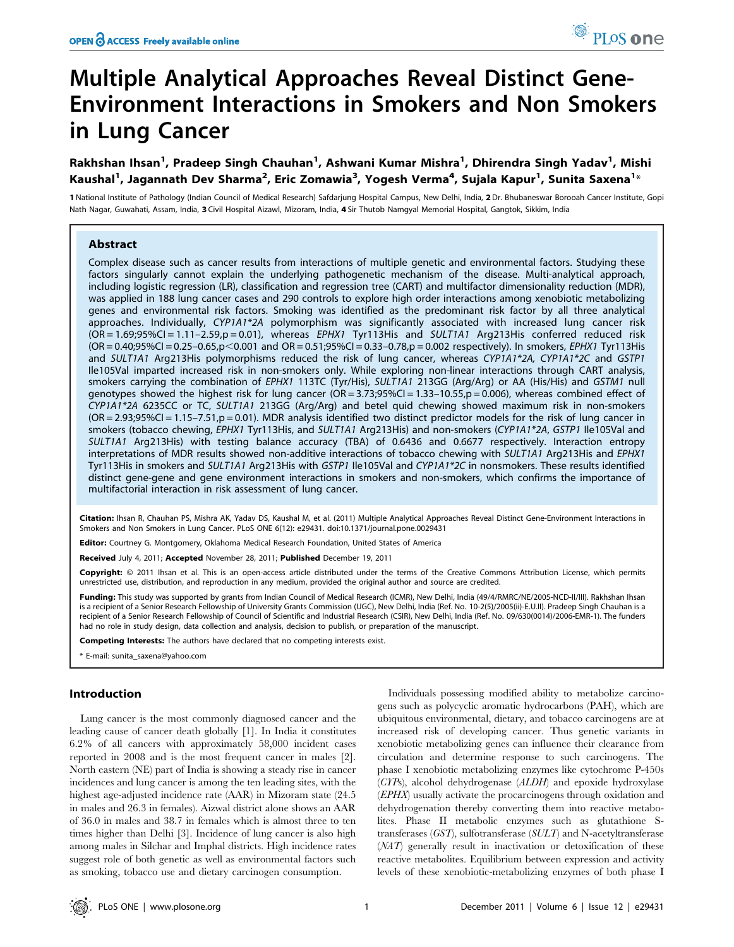# Multiple Analytical Approaches Reveal Distinct Gene-Environment Interactions in Smokers and Non Smokers in Lung Cancer

# Rakhshan Ihsan<sup>1</sup>, Pradeep Singh Chauhan<sup>1</sup>, Ashwani Kumar Mishra<sup>1</sup>, Dhirendra Singh Yadav<sup>1</sup>, Mishi Kaushal<sup>1</sup>, Jagannath Dev Sharma<sup>2</sup>, Eric Zomawia<sup>3</sup>, Yogesh Verma<sup>4</sup>, Sujala Kapur<sup>1</sup>, Sunita Saxena<sup>1</sup>\*

1 National Institute of Pathology (Indian Council of Medical Research) Safdarjung Hospital Campus, New Delhi, India, 2 Dr. Bhubaneswar Borooah Cancer Institute, Gopi Nath Nagar, Guwahati, Assam, India, 3 Civil Hospital Aizawl, Mizoram, India, 4 Sir Thutob Namgyal Memorial Hospital, Gangtok, Sikkim, India

# Abstract

Complex disease such as cancer results from interactions of multiple genetic and environmental factors. Studying these factors singularly cannot explain the underlying pathogenetic mechanism of the disease. Multi-analytical approach, including logistic regression (LR), classification and regression tree (CART) and multifactor dimensionality reduction (MDR), was applied in 188 lung cancer cases and 290 controls to explore high order interactions among xenobiotic metabolizing genes and environmental risk factors. Smoking was identified as the predominant risk factor by all three analytical approaches. Individually, CYP1A1\*2A polymorphism was significantly associated with increased lung cancer risk (OR = 1.69;95%CI = 1.11–2.59,p = 0.01), whereas EPHX1 Tyr113His and SULT1A1 Arg213His conferred reduced risk  $(OR = 0.40; 95\% CI = 0.25-0.65, p < 0.001$  and  $OR = 0.51; 95\% CI = 0.33-0.78, p = 0.002$  respectively). In smokers, *EPHX1* Tyr113His and SULT1A1 Arg213His polymorphisms reduced the risk of lung cancer, whereas CYP1A1\*2A, CYP1A1\*2C and GSTP1 Ile105Val imparted increased risk in non-smokers only. While exploring non-linear interactions through CART analysis, smokers carrying the combination of EPHX1 113TC (Tyr/His), SULT1A1 213GG (Arg/Arg) or AA (His/His) and GSTM1 null genotypes showed the highest risk for lung cancer  $(OR = 3.73;95\% CI = 1.33-10.55,p = 0.006)$ , whereas combined effect of CYP1A1\*2A 6235CC or TC, SULT1A1 213GG (Arg/Arg) and betel quid chewing showed maximum risk in non-smokers (OR = 2.93;95%CI = 1.15–7.51,p = 0.01). MDR analysis identified two distinct predictor models for the risk of lung cancer in smokers (tobacco chewing, EPHX1 Tyr113His, and SULT1A1 Arg213His) and non-smokers (CYP1A1\*2A, GSTP1 Ile105Val and SULT1A1 Arg213His) with testing balance accuracy (TBA) of 0.6436 and 0.6677 respectively. Interaction entropy interpretations of MDR results showed non-additive interactions of tobacco chewing with SULT1A1 Arg213His and EPHX1 Tyr113His in smokers and SULT1A1 Arg213His with GSTP1 Ile105Val and CYP1A1\*2C in nonsmokers. These results identified distinct gene-gene and gene environment interactions in smokers and non-smokers, which confirms the importance of multifactorial interaction in risk assessment of lung cancer.

Citation: Ihsan R, Chauhan PS, Mishra AK, Yadav DS, Kaushal M, et al. (2011) Multiple Analytical Approaches Reveal Distinct Gene-Environment Interactions in Smokers and Non Smokers in Lung Cancer. PLoS ONE 6(12): e29431. doi:10.1371/journal.pone.0029431

Editor: Courtney G. Montgomery, Oklahoma Medical Research Foundation, United States of America

Received July 4, 2011; Accepted November 28, 2011; Published December 19, 2011

Copyright: © 2011 Ihsan et al. This is an open-access article distributed under the terms of the Creative Commons Attribution License, which permits unrestricted use, distribution, and reproduction in any medium, provided the original author and source are credited.

Funding: This study was supported by grants from Indian Council of Medical Research (ICMR), New Delhi, India (49/4/RMRC/NE/2005-NCD-II/III). Rakhshan Ihsan is a recipient of a Senior Research Fellowship of University Grants Commission (UGC), New Delhi, India (Ref. No. 10-2(5)/2005(ii)-E.U.II). Pradeep Singh Chauhan is a recipient of a Senior Research Fellowship of Council of Scientific and Industrial Research (CSIR), New Delhi, India (Ref. No. 09/630(0014)/2006-EMR-1). The funders had no role in study design, data collection and analysis, decision to publish, or preparation of the manuscript.

Competing Interests: The authors have declared that no competing interests exist.

E-mail: sunita\_saxena@yahoo.com

# Introduction

Lung cancer is the most commonly diagnosed cancer and the leading cause of cancer death globally [1]. In India it constitutes 6.2% of all cancers with approximately 58,000 incident cases reported in 2008 and is the most frequent cancer in males [2]. North eastern (NE) part of India is showing a steady rise in cancer incidences and lung cancer is among the ten leading sites, with the highest age-adjusted incidence rate (AAR) in Mizoram state (24.5 in males and 26.3 in females). Aizwal district alone shows an AAR of 36.0 in males and 38.7 in females which is almost three to ten times higher than Delhi [3]. Incidence of lung cancer is also high among males in Silchar and Imphal districts. High incidence rates suggest role of both genetic as well as environmental factors such as smoking, tobacco use and dietary carcinogen consumption.

Individuals possessing modified ability to metabolize carcinogens such as polycyclic aromatic hydrocarbons (PAH), which are ubiquitous environmental, dietary, and tobacco carcinogens are at increased risk of developing cancer. Thus genetic variants in xenobiotic metabolizing genes can influence their clearance from circulation and determine response to such carcinogens. The phase I xenobiotic metabolizing enzymes like cytochrome P-450s (CYPs), alcohol dehydrogenase (ALDH) and epoxide hydroxylase (EPHX) usually activate the procarcinogens through oxidation and dehydrogenation thereby converting them into reactive metabolites. Phase II metabolic enzymes such as glutathione Stransferases (GST), sulfotransferase (SULT) and N-acetyltransferase (NAT) generally result in inactivation or detoxification of these reactive metabolites. Equilibrium between expression and activity levels of these xenobiotic-metabolizing enzymes of both phase I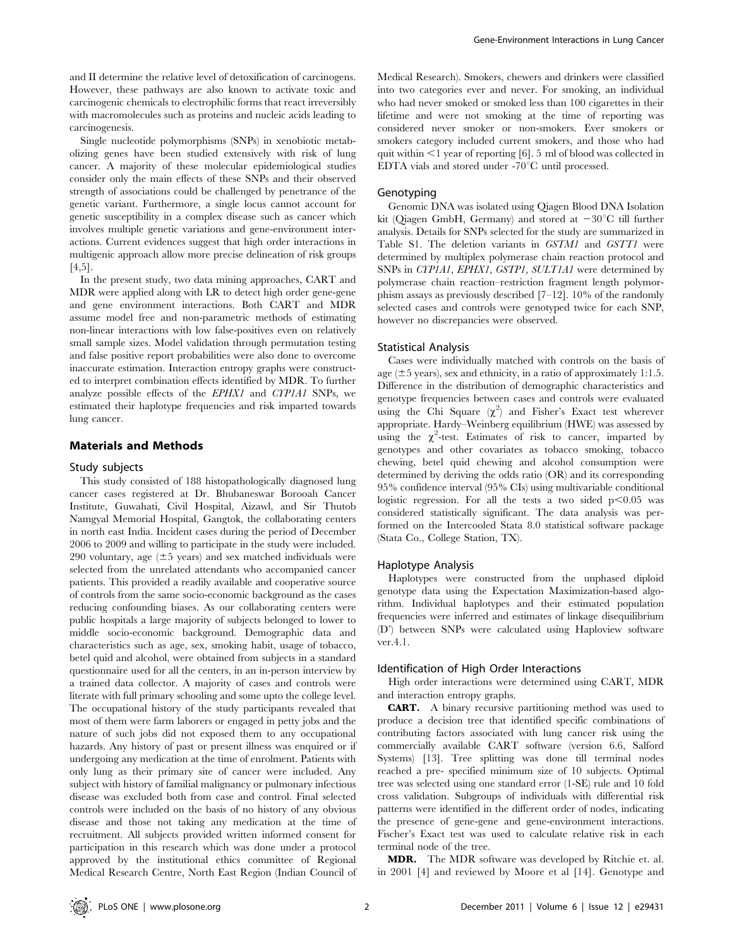and II determine the relative level of detoxification of carcinogens. However, these pathways are also known to activate toxic and carcinogenic chemicals to electrophilic forms that react irreversibly with macromolecules such as proteins and nucleic acids leading to carcinogenesis.

Single nucleotide polymorphisms (SNPs) in xenobiotic metabolizing genes have been studied extensively with risk of lung cancer. A majority of these molecular epidemiological studies consider only the main effects of these SNPs and their observed strength of associations could be challenged by penetrance of the genetic variant. Furthermore, a single locus cannot account for genetic susceptibility in a complex disease such as cancer which involves multiple genetic variations and gene-environment interactions. Current evidences suggest that high order interactions in multigenic approach allow more precise delineation of risk groups [4,5].

In the present study, two data mining approaches, CART and MDR were applied along with LR to detect high order gene-gene and gene environment interactions. Both CART and MDR assume model free and non-parametric methods of estimating non-linear interactions with low false-positives even on relatively small sample sizes. Model validation through permutation testing and false positive report probabilities were also done to overcome inaccurate estimation. Interaction entropy graphs were constructed to interpret combination effects identified by MDR. To further analyze possible effects of the EPHX1 and CYP1A1 SNPs, we estimated their haplotype frequencies and risk imparted towards lung cancer.

# Materials and Methods

#### Study subjects

This study consisted of 188 histopathologically diagnosed lung cancer cases registered at Dr. Bhubaneswar Borooah Cancer Institute, Guwahati, Civil Hospital, Aizawl, and Sir Thutob Namgyal Memorial Hospital, Gangtok, the collaborating centers in north east India. Incident cases during the period of December 2006 to 2009 and willing to participate in the study were included. 290 voluntary, age  $(\pm 5$  years) and sex matched individuals were selected from the unrelated attendants who accompanied cancer patients. This provided a readily available and cooperative source of controls from the same socio-economic background as the cases reducing confounding biases. As our collaborating centers were public hospitals a large majority of subjects belonged to lower to middle socio-economic background. Demographic data and characteristics such as age, sex, smoking habit, usage of tobacco, betel quid and alcohol, were obtained from subjects in a standard questionnaire used for all the centers, in an in-person interview by a trained data collector. A majority of cases and controls were literate with full primary schooling and some upto the college level. The occupational history of the study participants revealed that most of them were farm laborers or engaged in petty jobs and the nature of such jobs did not exposed them to any occupational hazards. Any history of past or present illness was enquired or if undergoing any medication at the time of enrolment. Patients with only lung as their primary site of cancer were included. Any subject with history of familial malignancy or pulmonary infectious disease was excluded both from case and control. Final selected controls were included on the basis of no history of any obvious disease and those not taking any medication at the time of recruitment. All subjects provided written informed consent for participation in this research which was done under a protocol approved by the institutional ethics committee of Regional Medical Research Centre, North East Region (Indian Council of Medical Research). Smokers, chewers and drinkers were classified into two categories ever and never. For smoking, an individual who had never smoked or smoked less than 100 cigarettes in their lifetime and were not smoking at the time of reporting was considered never smoker or non-smokers. Ever smokers or smokers category included current smokers, and those who had quit within  $\leq 1$  year of reporting [6]. 5 ml of blood was collected in EDTA vials and stored under  $-70^{\circ}$ C until processed.

#### Genotyping

Genomic DNA was isolated using Qiagen Blood DNA Isolation kit (Qiagen GmbH, Germany) and stored at  $-30^{\circ}$ C till further analysis. Details for SNPs selected for the study are summarized in Table S1. The deletion variants in GSTM1 and GSTT1 were determined by multiplex polymerase chain reaction protocol and SNPs in CYP1A1, EPHX1, GSTP1, SULT1A1 were determined by polymerase chain reaction–restriction fragment length polymorphism assays as previously described [7–12]. 10% of the randomly selected cases and controls were genotyped twice for each SNP, however no discrepancies were observed.

# Statistical Analysis

Cases were individually matched with controls on the basis of age ( $\pm$ 5 years), sex and ethnicity, in a ratio of approximately 1:1.5. Difference in the distribution of demographic characteristics and genotype frequencies between cases and controls were evaluated using the Chi Square  $(\chi^2)$  and Fisher's Exact test wherever appropriate. Hardy–Weinberg equilibrium (HWE) was assessed by using the  $\chi^2$ -test. Estimates of risk to cancer, imparted by genotypes and other covariates as tobacco smoking, tobacco chewing, betel quid chewing and alcohol consumption were determined by deriving the odds ratio (OR) and its corresponding 95% confidence interval (95% CIs) using multivariable conditional logistic regression. For all the tests a two sided  $p<0.05$  was considered statistically significant. The data analysis was performed on the Intercooled Stata 8.0 statistical software package (Stata Co., College Station, TX).

## Haplotype Analysis

Haplotypes were constructed from the unphased diploid genotype data using the Expectation Maximization-based algorithm. Individual haplotypes and their estimated population frequencies were inferred and estimates of linkage disequilibrium (D') between SNPs were calculated using Haploview software ver.4.1.

#### Identification of High Order Interactions

High order interactions were determined using CART, MDR and interaction entropy graphs.

CART. A binary recursive partitioning method was used to produce a decision tree that identified specific combinations of contributing factors associated with lung cancer risk using the commercially available CART software (version 6.6, Salford Systems) [13]. Tree splitting was done till terminal nodes reached a pre- specified minimum size of 10 subjects. Optimal tree was selected using one standard error (1-SE) rule and 10 fold cross validation. Subgroups of individuals with differential risk patterns were identified in the different order of nodes, indicating the presence of gene-gene and gene-environment interactions. Fischer's Exact test was used to calculate relative risk in each terminal node of the tree.

MDR. The MDR software was developed by Ritchie et. al. in 2001 [4] and reviewed by Moore et al [14]. Genotype and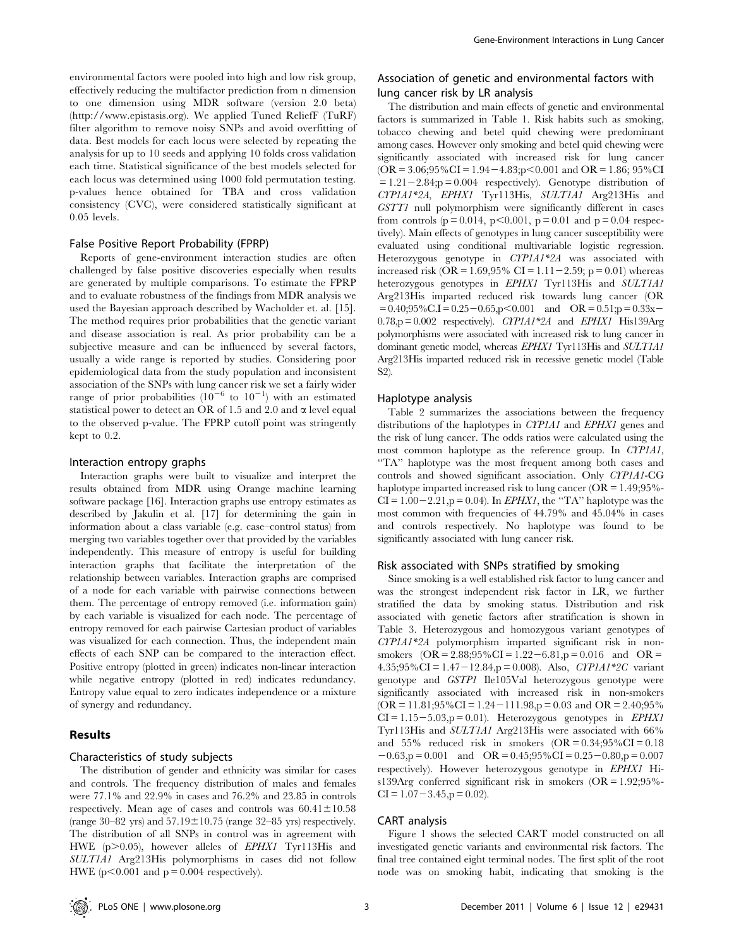environmental factors were pooled into high and low risk group, effectively reducing the multifactor prediction from n dimension to one dimension using MDR software (version 2.0 beta) (http://www.epistasis.org). We applied Tuned ReliefF (TuRF) filter algorithm to remove noisy SNPs and avoid overfitting of data. Best models for each locus were selected by repeating the analysis for up to 10 seeds and applying 10 folds cross validation each time. Statistical significance of the best models selected for each locus was determined using 1000 fold permutation testing. p-values hence obtained for TBA and cross validation consistency (CVC), were considered statistically significant at 0.05 levels.

# False Positive Report Probability (FPRP)

Reports of gene-environment interaction studies are often challenged by false positive discoveries especially when results are generated by multiple comparisons. To estimate the FPRP and to evaluate robustness of the findings from MDR analysis we used the Bayesian approach described by Wacholder et. al. [15]. The method requires prior probabilities that the genetic variant and disease association is real. As prior probability can be a subjective measure and can be influenced by several factors, usually a wide range is reported by studies. Considering poor epidemiological data from the study population and inconsistent association of the SNPs with lung cancer risk we set a fairly wider range of prior probabilities  $(10^{-6}$  to  $10^{-1})$  with an estimated statistical power to detect an OR of 1.5 and 2.0 and  $\alpha$  level equal to the observed p-value. The FPRP cutoff point was stringently kept to 0.2.

## Interaction entropy graphs

Interaction graphs were built to visualize and interpret the results obtained from MDR using Orange machine learning software package [16]. Interaction graphs use entropy estimates as described by Jakulin et al. [17] for determining the gain in information about a class variable (e.g. case–control status) from merging two variables together over that provided by the variables independently. This measure of entropy is useful for building interaction graphs that facilitate the interpretation of the relationship between variables. Interaction graphs are comprised of a node for each variable with pairwise connections between them. The percentage of entropy removed (i.e. information gain) by each variable is visualized for each node. The percentage of entropy removed for each pairwise Cartesian product of variables was visualized for each connection. Thus, the independent main effects of each SNP can be compared to the interaction effect. Positive entropy (plotted in green) indicates non-linear interaction while negative entropy (plotted in red) indicates redundancy. Entropy value equal to zero indicates independence or a mixture of synergy and redundancy.

# Results

# Characteristics of study subjects

The distribution of gender and ethnicity was similar for cases and controls. The frequency distribution of males and females were 77.1% and 22.9% in cases and 76.2% and 23.85 in controls respectively. Mean age of cases and controls was  $60.41 \pm 10.58$ (range  $30-82$  yrs) and  $57.19 \pm 10.75$  (range  $32-85$  yrs) respectively. The distribution of all SNPs in control was in agreement with HWE (p>0.05), however alleles of EPHX1 Tyr113His and SULT1A1 Arg213His polymorphisms in cases did not follow HWE  $(p<0.001$  and  $p = 0.004$  respectively).

# Association of genetic and environmental factors with lung cancer risk by LR analysis

The distribution and main effects of genetic and environmental factors is summarized in Table 1. Risk habits such as smoking, tobacco chewing and betel quid chewing were predominant among cases. However only smoking and betel quid chewing were significantly associated with increased risk for lung cancer  $(OR = 3.06; 95\% CI = 1.94 - 4.83; p < 0.001$  and  $OR = 1.86; 95\% CI$  $= 1.21 - 2.84; p = 0.004$  respectively). Genotype distribution of CYP1A1\*2A, EPHX1 Tyr113His, SULT1A1 Arg213His and GSTT1 null polymorphism were significantly different in cases from controls ( $p = 0.014$ ,  $p < 0.001$ ,  $p = 0.01$  and  $p = 0.04$  respectively). Main effects of genotypes in lung cancer susceptibility were evaluated using conditional multivariable logistic regression. Heterozygous genotype in CYP1A1\*2A was associated with increased risk (OR =  $1.69,95\%$  CI =  $1.11-2.59$ ; p = 0.01) whereas heterozygous genotypes in EPHX1 Tyr113His and SULT1A1 Arg213His imparted reduced risk towards lung cancer (OR  $= 0.40;95\% \text{C} \cdot \text{I} = 0.25-0.65, p < 0.001$  and  $\text{OR} = 0.51; p = 0.33x$  $0.78$ ,p =  $0.002$  respectively). CYP1A1\*2A and EPHX1 His139Arg polymorphisms were associated with increased risk to lung cancer in dominant genetic model, whereas EPHX1 Tyr113His and SULT1A1 Arg213His imparted reduced risk in recessive genetic model (Table S2).

# Haplotype analysis

Table 2 summarizes the associations between the frequency distributions of the haplotypes in CYP1A1 and EPHX1 genes and the risk of lung cancer. The odds ratios were calculated using the most common haplotype as the reference group. In CYP1A1, ''TA'' haplotype was the most frequent among both cases and controls and showed significant association. Only CYP1A1-CG haplotype imparted increased risk to lung cancer (OR = 1.49;95%-  $CI = 1.00-2.21$ ,  $p = 0.04$ ). In *EPHX1*, the "TA" haplotype was the most common with frequencies of 44.79% and 45.04% in cases and controls respectively. No haplotype was found to be significantly associated with lung cancer risk.

#### Risk associated with SNPs stratified by smoking

Since smoking is a well established risk factor to lung cancer and was the strongest independent risk factor in LR, we further stratified the data by smoking status. Distribution and risk associated with genetic factors after stratification is shown in Table 3. Heterozygous and homozygous variant genotypes of CYP1A1\*2A polymorphism imparted significant risk in nonsmokers  $(OR = 2.88; 95\% CI = 1.22 - 6.81, p = 0.016$  and  $OR =$ 4.35;95%CI = 1.47 – 12.84,p = 0.008). Also, CYP1A1\*2C variant genotype and GSTP1 Ile105Val heterozygous genotype were significantly associated with increased risk in non-smokers  $(OR = 11.81; 95\% CI = 1.24 - 111.98, p = 0.03$  and  $OR = 2.40; 95\%$  $CI = 1.15-5.03$ ,p = 0.01). Heterozygous genotypes in EPHX1 Tyr113His and SULT1A1 Arg213His were associated with 66% and  $55\%$  reduced risk in smokers  $(OR = 0.34; 95\% CI = 0.18$  $-0.63$ ,p = 0.001 and OR = 0.45;95%CI = 0.25 - 0.80,p = 0.007 respectively). However heterozygous genotype in EPHX1 His139Arg conferred significant risk in smokers (OR = 1.92;95%-  $CI = 1.07 - 3.45$ ,  $p = 0.02$ ).

# CART analysis

Figure 1 shows the selected CART model constructed on all investigated genetic variants and environmental risk factors. The final tree contained eight terminal nodes. The first split of the root node was on smoking habit, indicating that smoking is the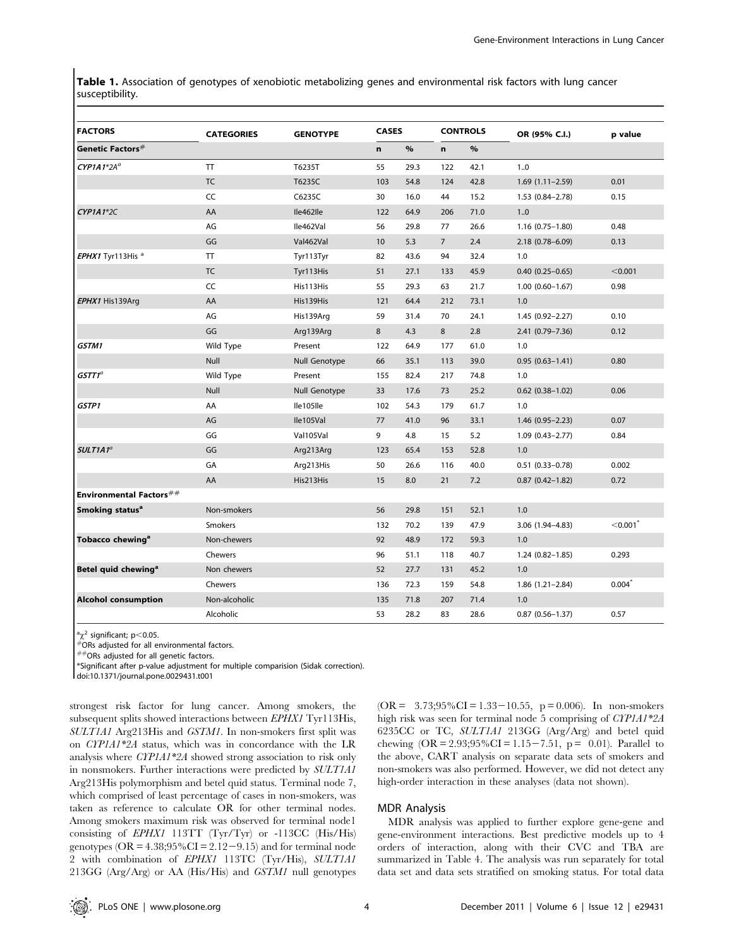Table 1. Association of genotypes of xenobiotic metabolizing genes and environmental risk factors with lung cancer susceptibility.

| <b>FACTORS</b>                  | <b>CATEGORIES</b> | <b>GENOTYPE</b> | <b>CASES</b> |      |                | <b>CONTROLS</b> | OR (95% C.I.)          | p value        |
|---------------------------------|-------------------|-----------------|--------------|------|----------------|-----------------|------------------------|----------------|
| Genetic Factors $^{\#}$         |                   |                 | n            | $\%$ | $\mathbf n$    | $\%$            |                        |                |
| $CYP1A1*2A^a$                   | <b>TT</b>         | T6235T          | 55           | 29.3 | 122            | 42.1            | 1.0                    |                |
|                                 | <b>TC</b>         | T6235C          | 103          | 54.8 | 124            | 42.8            | $1.69(1.11 - 2.59)$    | 0.01           |
|                                 | CC                | C6235C          | 30           | 16.0 | 44             | 15.2            | $1.53(0.84 - 2.78)$    | 0.15           |
| $CYP1A1*2C$                     | AA                | Ile462lle       | 122          | 64.9 | 206            | 71.0            | 1.0                    |                |
|                                 | AG                | Ile462Val       | 56           | 29.8 | 77             | 26.6            | $1.16(0.75 - 1.80)$    | 0.48           |
|                                 | GG                | Val462Val       | 10           | 5.3  | $\overline{7}$ | 2.4             | 2.18 (0.78-6.09)       | 0.13           |
| EPHX1 Tyr113His <sup>a</sup>    | <b>TT</b>         | Tyr113Tyr       | 82           | 43.6 | 94             | 32.4            | 1.0                    |                |
|                                 | <b>TC</b>         | Tyr113His       | 51           | 27.1 | 133            | 45.9            | $0.40(0.25 - 0.65)$    | < 0.001        |
|                                 | CC                | His113His       | 55           | 29.3 | 63             | 21.7            | $1.00(0.60 - 1.67)$    | 0.98           |
| EPHX1 His139Arg                 | AA                | His139His       | 121          | 64.4 | 212            | 73.1            | 1.0                    |                |
|                                 | AG                | His139Arg       | 59           | 31.4 | 70             | 24.1            | 1.45 (0.92-2.27)       | 0.10           |
|                                 | GG                | Arg139Arg       | 8            | 4.3  | 8              | 2.8             | 2.41 (0.79-7.36)       | 0.12           |
| GSTM1                           | Wild Type         | Present         | 122          | 64.9 | 177            | 61.0            | 1.0                    |                |
|                                 | Null              | Null Genotype   | 66           | 35.1 | 113            | 39.0            | $0.95(0.63 - 1.41)$    | 0.80           |
| GSTT1 $^a$                      | Wild Type         | Present         | 155          | 82.4 | 217            | 74.8            | 1.0                    |                |
|                                 | Null              | Null Genotype   | 33           | 17.6 | 73             | 25.2            | $0.62$ (0.38-1.02)     | 0.06           |
| <b>GSTP1</b>                    | AA                | Ile105lle       | 102          | 54.3 | 179            | 61.7            | 1.0                    |                |
|                                 | AG                | Ile105Val       | 77           | 41.0 | 96             | 33.1            | 1.46 (0.95-2.23)       | 0.07           |
|                                 | GG                | Val105Val       | 9            | 4.8  | 15             | 5.2             | $1.09(0.43 - 2.77)$    | 0.84           |
| $SULTIA1^a$                     | GG                | Arg213Arg       | 123          | 65.4 | 153            | 52.8            | 1.0                    |                |
|                                 | GA                | Arg213His       | 50           | 26.6 | 116            | 40.0            | $0.51(0.33 - 0.78)$    | 0.002          |
|                                 | AA                | His213His       | 15           | 8.0  | 21             | 7.2             | $0.87$ $(0.42 - 1.82)$ | 0.72           |
| <b>Environmental Factors</b> ## |                   |                 |              |      |                |                 |                        |                |
| Smoking status <sup>a</sup>     | Non-smokers       |                 | 56           | 29.8 | 151            | 52.1            | 1.0                    |                |
|                                 | <b>Smokers</b>    |                 | 132          | 70.2 | 139            | 47.9            | 3.06 (1.94-4.83)       | $<$ 0.001 $^*$ |
| Tobacco chewing <sup>a</sup>    | Non-chewers       |                 | 92           | 48.9 | 172            | 59.3            | 1.0                    |                |
|                                 | Chewers           |                 | 96           | 51.1 | 118            | 40.7            | $1.24(0.82 - 1.85)$    | 0.293          |
| Betel quid chewing <sup>a</sup> | Non chewers       |                 | 52           | 27.7 | 131            | 45.2            | 1.0                    |                |
|                                 | Chewers           |                 | 136          | 72.3 | 159            | 54.8            | $1.86(1.21 - 2.84)$    | $0.004^*$      |
| <b>Alcohol consumption</b>      | Non-alcoholic     |                 | 135          | 71.8 | 207            | 71.4            | 1.0                    |                |
|                                 | Alcoholic         |                 | 53           | 28.2 | 83             | 28.6            | $0.87(0.56 - 1.37)$    | 0.57           |

 $a_{\chi}^2$  significant; p<0.05.

 $*$ ORs adjusted for all environmental factors.

 $#$  $\theta$ ORs adjusted for all genetic factors.

\*Significant after p-value adjustment for multiple comparision (Sidak correction).

doi:10.1371/journal.pone.0029431.t001

strongest risk factor for lung cancer. Among smokers, the subsequent splits showed interactions between EPHX1 Tyr113His, SULT1A1 Arg213His and GSTM1. In non-smokers first split was on CYP1A1\*2A status, which was in concordance with the LR analysis where CYP1A1\*2A showed strong association to risk only in nonsmokers. Further interactions were predicted by SULT1A1 Arg213His polymorphism and betel quid status. Terminal node 7, which comprised of least percentage of cases in non-smokers, was taken as reference to calculate OR for other terminal nodes. Among smokers maximum risk was observed for terminal node1 consisting of EPHX1 113TT (Tyr/Tyr) or -113CC (His/His) genotypes ( $OR = 4.38;95\% CI = 2.12-9.15$ ) and for terminal node 2 with combination of EPHX1 113TC (Tyr/His), SULT1A1 213GG (Arg/Arg) or AA (His/His) and GSTM1 null genotypes

(OR =  $3.73;95\%$ CI = 1.33 - 10.55, p = 0.006). In non-smokers high risk was seen for terminal node 5 comprising of CYP1A1\*2A 6235CC or TC, SULT1A1 213GG (Arg/Arg) and betel quid chewing  $(OR = 2.93; 95\% CI = 1.15-7.51, p = 0.01)$ . Parallel to the above, CART analysis on separate data sets of smokers and non-smokers was also performed. However, we did not detect any high-order interaction in these analyses (data not shown).

# MDR Analysis

MDR analysis was applied to further explore gene-gene and gene-environment interactions. Best predictive models up to 4 orders of interaction, along with their CVC and TBA are summarized in Table 4. The analysis was run separately for total data set and data sets stratified on smoking status. For total data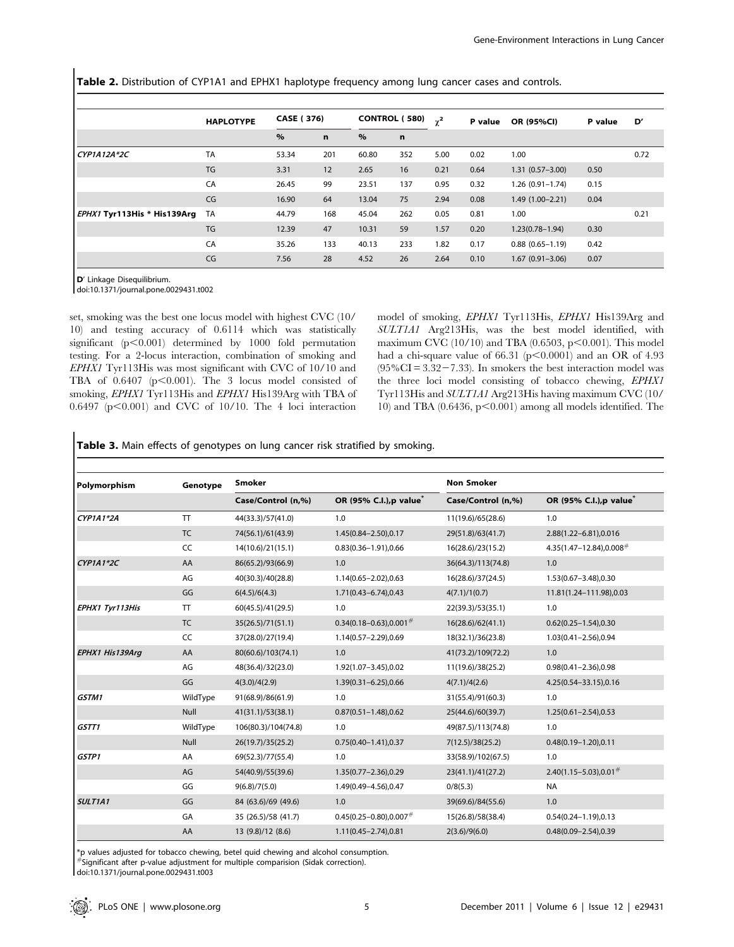Table 2. Distribution of CYP1A1 and EPHX1 haplotype frequency among lung cancer cases and controls.

|                                    | <b>HAPLOTYPE</b> | <b>CASE (376)</b> |             | <b>CONTROL (580)</b> |     | $\gamma^2$ | P value | OR (95%CI)          | P value | D'   |
|------------------------------------|------------------|-------------------|-------------|----------------------|-----|------------|---------|---------------------|---------|------|
|                                    |                  | $\%$              | $\mathbf n$ | $\%$                 | n   |            |         |                     |         |      |
| $CYP1A12A*2C$                      | <b>TA</b>        | 53.34             | 201         | 60.80                | 352 | 5.00       | 0.02    | 1.00                |         | 0.72 |
|                                    | TG               | 3.31              | 12          | 2.65                 | 16  | 0.21       | 0.64    | $1.31(0.57 - 3.00)$ | 0.50    |      |
|                                    | CA               | 26.45             | 99          | 23.51                | 137 | 0.95       | 0.32    | 1.26 (0.91-1.74)    | 0.15    |      |
|                                    | CG               | 16.90             | 64          | 13.04                | 75  | 2.94       | 0.08    | $1.49(1.00 - 2.21)$ | 0.04    |      |
| <i>EPHX1</i> Tyr113His * His139Arg | <b>TA</b>        | 44.79             | 168         | 45.04                | 262 | 0.05       | 0.81    | 1.00                |         | 0.21 |
|                                    | TG               | 12.39             | 47          | 10.31                | 59  | 1.57       | 0.20    | $1.23(0.78 - 1.94)$ | 0.30    |      |
|                                    | CA               | 35.26             | 133         | 40.13                | 233 | 1.82       | 0.17    | $0.88(0.65 - 1.19)$ | 0.42    |      |
|                                    | CG               | 7.56              | 28          | 4.52                 | 26  | 2.64       | 0.10    | $1.67(0.91 - 3.06)$ | 0.07    |      |

D' Linkage Disequilibrium.

doi:10.1371/journal.pone.0029431.t002

set, smoking was the best one locus model with highest CVC (10/ 10) and testing accuracy of 0.6114 which was statistically significant  $(p<0.001)$  determined by 1000 fold permutation testing. For a 2-locus interaction, combination of smoking and EPHX1 Tyr113His was most significant with CVC of 10/10 and TBA of  $0.6407$  ( $p<0.001$ ). The 3 locus model consisted of smoking, EPHX1 Tyr113His and EPHX1 His139Arg with TBA of  $0.6497$  (p $<0.001$ ) and CVC of 10/10. The 4 loci interaction model of smoking, EPHX1 Tyr113His, EPHX1 His139Arg and SULT1A1 Arg213His, was the best model identified, with maximum CVC (10/10) and TBA (0.6503, p $\leq$ 0.001). This model had a chi-square value of 66.31 ( $p<0.0001$ ) and an OR of 4.93  $(95\%CI = 3.32 - 7.33)$ . In smokers the best interaction model was the three loci model consisting of tobacco chewing, EPHX1 Tyr113His and SULT1A1 Arg213His having maximum CVC (10/ 10) and TBA  $(0.6436, p<0.001)$  among all models identified. The

Table 3. Main effects of genotypes on lung cancer risk stratified by smoking.

| Polymorphism    | Genotype  | <b>Smoker</b>       |                                          | <b>Non Smoker</b>  |                                           |
|-----------------|-----------|---------------------|------------------------------------------|--------------------|-------------------------------------------|
|                 |           | Case/Control (n,%)  | OR (95% C.I.), p value <sup>*</sup>      | Case/Control (n,%) | OR (95% C.I.), p value <sup>*</sup>       |
| CYP1A1*2A       | <b>TT</b> | 44(33.3)/57(41.0)   | 1.0                                      | 11(19.6)/65(28.6)  | 1.0                                       |
|                 | <b>TC</b> | 74(56.1)/61(43.9)   | 1.45(0.84-2.50),0.17                     | 29(51.8)/63(41.7)  | 2.88(1.22-6.81),0.016                     |
|                 | CC        | 14(10.6)/21(15.1)   | $0.83(0.36 - 1.91)$ , 0.66               | 16(28.6)/23(15.2)  | $4.35(1.47 - 12.84)$ , 0.008 <sup>#</sup> |
| CYP1A1*2C       | AA        | 86(65.2)/93(66.9)   | 1.0                                      | 36(64.3)/113(74.8) | 1.0                                       |
|                 | AG        | 40(30.3)/40(28.8)   | 1.14(0.65-2.02),0.63                     | 16(28.6)/37(24.5)  | 1.53(0.67-3.48),0.30                      |
|                 | GG        | 6(4.5)/6(4.3)       | 1.71(0.43-6.74),0.43                     | 4(7.1)/1(0.7)      | 11.81(1.24-111.98),0.03                   |
| EPHX1 Tyr113His | T         | 60(45.5)/41(29.5)   | 1.0                                      | 22(39.3)/53(35.1)  | 1.0                                       |
|                 | <b>TC</b> | 35(26.5)/71(51.1)   | $0.34(0.18 - 0.63)$ , 0.001 $#$          | 16(28.6)/62(41.1)  | $0.62(0.25 - 1.54)$ , 0.30                |
|                 | CC        | 37(28.0)/27(19.4)   | 1.14(0.57-2.29),0.69                     | 18(32.1)/36(23.8)  | 1.03(0.41-2.56),0.94                      |
| EPHX1 His139Arg | AA        | 80(60.6)/103(74.1)  | 1.0                                      | 41(73.2)/109(72.2) | 1.0                                       |
|                 | AG        | 48(36.4)/32(23.0)   | 1.92(1.07-3.45),0.02                     | 11(19.6)/38(25.2)  | $0.98(0.41 - 2.36)$ , 0.98                |
|                 | GG        | 4(3.0)/4(2.9)       | 1.39(0.31-6.25),0.66                     | 4(7.1)/4(2.6)      | 4.25(0.54-33.15),0.16                     |
| GSTM1           | WildType  | 91(68.9)/86(61.9)   | 1.0                                      | 31(55.4)/91(60.3)  | 1.0                                       |
|                 | Null      | 41(31.1)/53(38.1)   | $0.87(0.51 - 1.48)$ , 0.62               | 25(44.6)/60(39.7)  | $1.25(0.61 - 2.54), 0.53$                 |
| GSTT1           | WildType  | 106(80.3)/104(74.8) | 1.0                                      | 49(87.5)/113(74.8) | 1.0                                       |
|                 | Null      | 26(19.7)/35(25.2)   | $0.75(0.40 - 1.41)$ , 0.37               | 7(12.5)/38(25.2)   | $0.48(0.19 - 1.20)$ , 0.11                |
| GSTP1           | AA        | 69(52.3)/77(55.4)   | 1.0                                      | 33(58.9)/102(67.5) | 1.0                                       |
|                 | AG        | 54(40.9)/55(39.6)   | 1.35(0.77-2.36),0.29                     | 23(41.1)/41(27.2)  | $2.40(1.15 - 5.03)$ ,0.01 <sup>#</sup>    |
|                 | GG        | 9(6.8)/7(5.0)       | 1.49(0.49-4.56),0.47                     | 0/8(5.3)           | <b>NA</b>                                 |
| <b>SULT1A1</b>  | GG        | 84 (63.6)/69 (49.6) | 1.0                                      | 39(69.6)/84(55.6)  | 1.0                                       |
|                 | GA        | 35 (26.5)/58 (41.7) | $0.45(0.25 - 0.80)$ , 0.007 <sup>#</sup> | 15(26.8)/58(38.4)  | $0.54(0.24 - 1.19)$ , 0.13                |
|                 | AA        | 13 (9.8)/12 (8.6)   | 1.11(0.45-2.74),0.81                     | 2(3.6)/9(6.0)      | $0.48(0.09 - 2.54)$ , 0.39                |

\*p values adjusted for tobacco chewing, betel quid chewing and alcohol consumption.

 $*$ Significant after p-value adjustment for multiple comparision (Sidak correction).

doi:10.1371/journal.pone.0029431.t003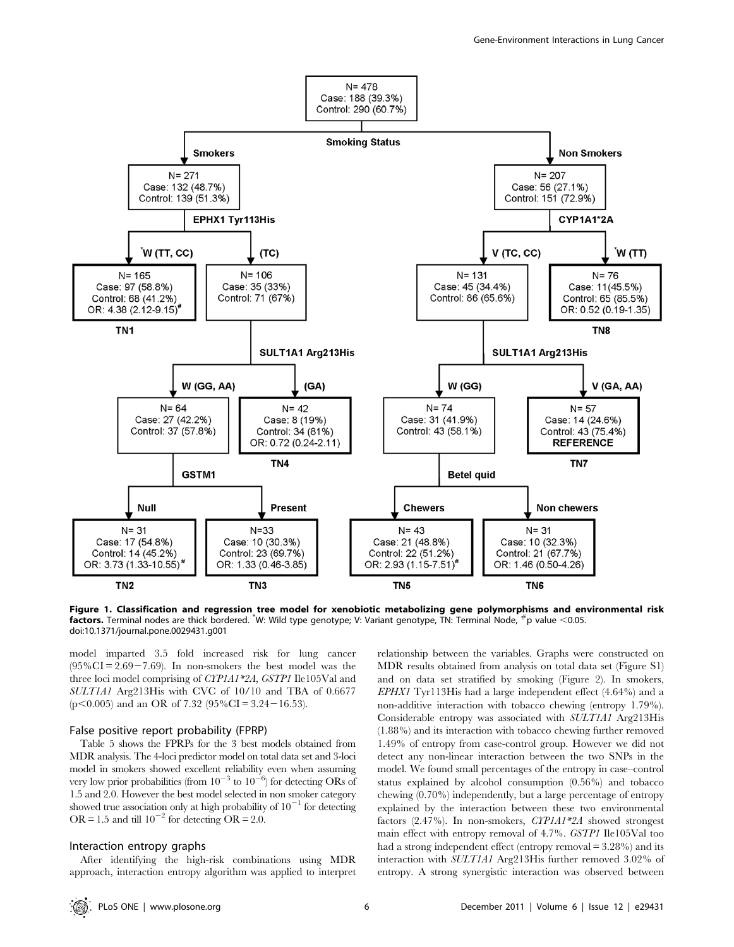

Figure 1. Classification and regression tree model for xenobiotic metabolizing gene polymorphisms and environmental risk factors. Terminal nodes are thick bordered. "W: Wild type genotype; V: Variant genotype, TN: Terminal Node,  $\#$ p value <0.05. doi:10.1371/journal.pone.0029431.g001

model imparted 3.5 fold increased risk for lung cancer  $(95\%CI = 2.69 - 7.69)$ . In non-smokers the best model was the three loci model comprising of CYP1A1\*2A, GSTP1 Ile105Val and SULT1A1 Arg213His with CVC of 10/10 and TBA of 0.6677  $(p<0.005)$  and an OR of 7.32 (95%CI = 3.24 – 16.53).

#### False positive report probability (FPRP)

Table 5 shows the FPRPs for the 3 best models obtained from MDR analysis. The 4-loci predictor model on total data set and 3-loci model in smokers showed excellent reliability even when assuming very low prior probabilities (from  $10^{-3}$  to  $10^{-6}$ ) for detecting ORs of 1.5 and 2.0. However the best model selected in non smoker category showed true association only at high probability of  $10^{-1}$  for detecting OR = 1.5 and till  $10^{-2}$  for detecting OR = 2.0.

# Interaction entropy graphs

After identifying the high-risk combinations using MDR approach, interaction entropy algorithm was applied to interpret

relationship between the variables. Graphs were constructed on MDR results obtained from analysis on total data set (Figure S1) and on data set stratified by smoking (Figure 2). In smokers, EPHX1 Tyr113His had a large independent effect (4.64%) and a non-additive interaction with tobacco chewing (entropy 1.79%). Considerable entropy was associated with SULT1A1 Arg213His (1.88%) and its interaction with tobacco chewing further removed 1.49% of entropy from case-control group. However we did not detect any non-linear interaction between the two SNPs in the model. We found small percentages of the entropy in case–control status explained by alcohol consumption (0.56%) and tobacco chewing (0.70%) independently, but a large percentage of entropy explained by the interaction between these two environmental factors (2.47%). In non-smokers, CYP1A1\*2A showed strongest main effect with entropy removal of 4.7%. GSTP1 Ile105Val too had a strong independent effect (entropy removal = 3.28%) and its interaction with SULT1A1 Arg213His further removed 3.02% of entropy. A strong synergistic interaction was observed between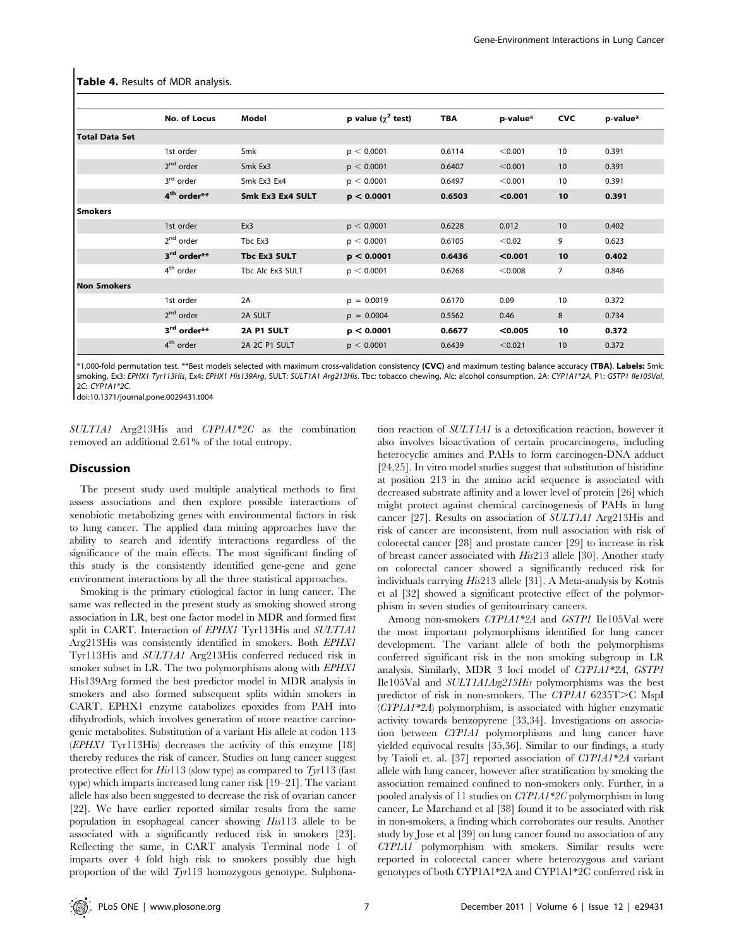|                       | No. of Locus                        | Model            | p value $(\chi^2$ test) | <b>TBA</b> | p-value* | <b>CVC</b>     | p-value* |
|-----------------------|-------------------------------------|------------------|-------------------------|------------|----------|----------------|----------|
| <b>Total Data Set</b> |                                     |                  |                         |            |          |                |          |
|                       | 1st order                           | Smk              | p < 0.0001              | 0.6114     | < 0.001  | 10             | 0.391    |
|                       | $2nd$ order                         | Smk Ex3          | p < 0.0001              | 0.6407     | < 0.001  | 10             | 0.391    |
|                       | 3 <sup>rd</sup> order               | Smk Ex3 Ex4      | p < 0.0001              | 0.6497     | < 0.001  | 10             | 0.391    |
|                       | 4 <sup>th</sup> order**             | Smk Ex3 Ex4 SULT | p < 0.0001              | 0.6503     | < 0.001  | 10             | 0.391    |
| <b>Smokers</b>        |                                     |                  |                         |            |          |                |          |
|                       | 1st order                           | Ex3              | p < 0.0001              | 0.6228     | 0.012    | 10             | 0.402    |
|                       | 2 <sup>nd</sup> order               | Tbc Ex3          | p < 0.0001              | 0.6105     | < 0.02   | 9              | 0.623    |
|                       | 3 <sup>rd</sup> order <sup>**</sup> | Tbc Ex3 SULT     | p < 0.0001              | 0.6436     | < 0.001  | 10             | 0.402    |
|                       | 4 <sup>th</sup> order               | Tbc Alc Ex3 SULT | p < 0.0001              | 0.6268     | < 0.008  | $\overline{7}$ | 0.846    |
| <b>Non Smokers</b>    |                                     |                  |                         |            |          |                |          |
|                       | 1st order                           | 2A               | $p = 0.0019$            | 0.6170     | 0.09     | 10             | 0.372    |
|                       | $2nd$ order                         | 2A SULT          | $p = 0.0004$            | 0.5562     | 0.46     | 8              | 0.734    |
|                       | 3 <sup>rd</sup> order**             | 2A P1 SULT       | p < 0.0001              | 0.6677     | < 0.005  | 10             | 0.372    |
|                       | $4th$ order                         | 2A 2C P1 SULT    | p < 0.0001              | 0.6439     | < 0.021  | 10             | 0.372    |

Table 4. Results of MDR analysis.

\*1,000-fold permutation test. \*\*Best models selected with maximum cross-validation consistency (CVC) and maximum testing balance accuracy (TBA). Labels: Smk: smoking, Ex3: EPHX1 Tyr113His, Ex4: EPHX1 His139Arg, SULT: SULT1A1 Arg213His, Tbc: tobacco chewing, Alc: alcohol consumption, 2A: CYP1A1\*2A, P1: GSTP1 Ile105Val, 2C: CYP1A1\*2C.

doi:10.1371/journal.pone.0029431.t004

SULT1A1 Arg213His and CYP1A1\*2C as the combination removed an additional 2.61% of the total entropy.

#### **Discussion**

The present study used multiple analytical methods to first assess associations and then explore possible interactions of xenobiotic metabolizing genes with environmental factors in risk to lung cancer. The applied data mining approaches have the ability to search and identify interactions regardless of the significance of the main effects. The most significant finding of this study is the consistently identified gene-gene and gene environment interactions by all the three statistical approaches.

Smoking is the primary etiological factor in lung cancer. The same was reflected in the present study as smoking showed strong association in LR, best one factor model in MDR and formed first split in CART. Interaction of *EPHX1* Tyr113His and *SULT1A1* Arg213His was consistently identified in smokers. Both EPHX1 Tyr113His and SULT1A1 Arg213His conferred reduced risk in smoker subset in LR. The two polymorphisms along with *EPHX1* His139Arg formed the best predictor model in MDR analysis in smokers and also formed subsequent splits within smokers in CART. EPHX1 enzyme catabolizes epoxides from PAH into dihydrodiols, which involves generation of more reactive carcinogenic metabolites. Substitution of a variant His allele at codon 113 (EPHX1 Tyr113His) decreases the activity of this enzyme [18] thereby reduces the risk of cancer. Studies on lung cancer suggest protective effect for His113 (slow type) as compared to  $Tyr113$  (fast type) which imparts increased lung caner risk [19–21]. The variant allele has also been suggested to decrease the risk of ovarian cancer [22]. We have earlier reported similar results from the same population in esophageal cancer showing His113 allele to be associated with a significantly reduced risk in smokers [23]. Reflecting the same, in CART analysis Terminal node 1 of imparts over 4 fold high risk to smokers possibly due high proportion of the wild Tyr113 homozygous genotype. Sulphonation reaction of SULT1A1 is a detoxification reaction, however it also involves bioactivation of certain procarcinogens, including heterocyclic amines and PAHs to form carcinogen-DNA adduct [24,25]. In vitro model studies suggest that substitution of histidine at position 213 in the amino acid sequence is associated with decreased substrate affinity and a lower level of protein [26] which might protect against chemical carcinogenesis of PAHs in lung cancer [27]. Results on association of SULT1A1 Arg213His and risk of cancer are inconsistent, from null association with risk of colorectal cancer [28] and prostate cancer [29] to increase in risk of breast cancer associated with His213 allele [30]. Another study on colorectal cancer showed a significantly reduced risk for individuals carrying His213 allele [31]. A Meta-analysis by Kotnis et al [32] showed a significant protective effect of the polymorphism in seven studies of genitourinary cancers.

Among non-smokers CYP1A1\*2A and GSTP1 Ile105Val were the most important polymorphisms identified for lung cancer development. The variant allele of both the polymorphisms conferred significant risk in the non smoking subgroup in LR analysis. Similarly, MDR 3 loci model of CYP1A1\*2A, GSTP1 Ile105Val and SULT1A1Arg213His polymorphisms was the best predictor of risk in non-smokers. The CYP1A1 6235T>C MspI (CYP1A1\*2A) polymorphism, is associated with higher enzymatic activity towards benzopyrene [33,34]. Investigations on association between CYP1A1 polymorphisms and lung cancer have yielded equivocal results [35,36]. Similar to our findings, a study by Taioli et. al. [37] reported association of CYP1A1\*2A variant allele with lung cancer, however after stratification by smoking the association remained confined to non-smokers only. Further, in a pooled analysis of 11 studies on CYP1A1\*2C polymorphism in lung cancer, Le Marchand et al [38] found it to be associated with risk in non-smokers, a finding which corroborates our results. Another study by Jose et al [39] on lung cancer found no association of any CYP1A1 polymorphism with smokers. Similar results were reported in colorectal cancer where heterozygous and variant genotypes of both CYP1A1\*2A and CYP1A1\*2C conferred risk in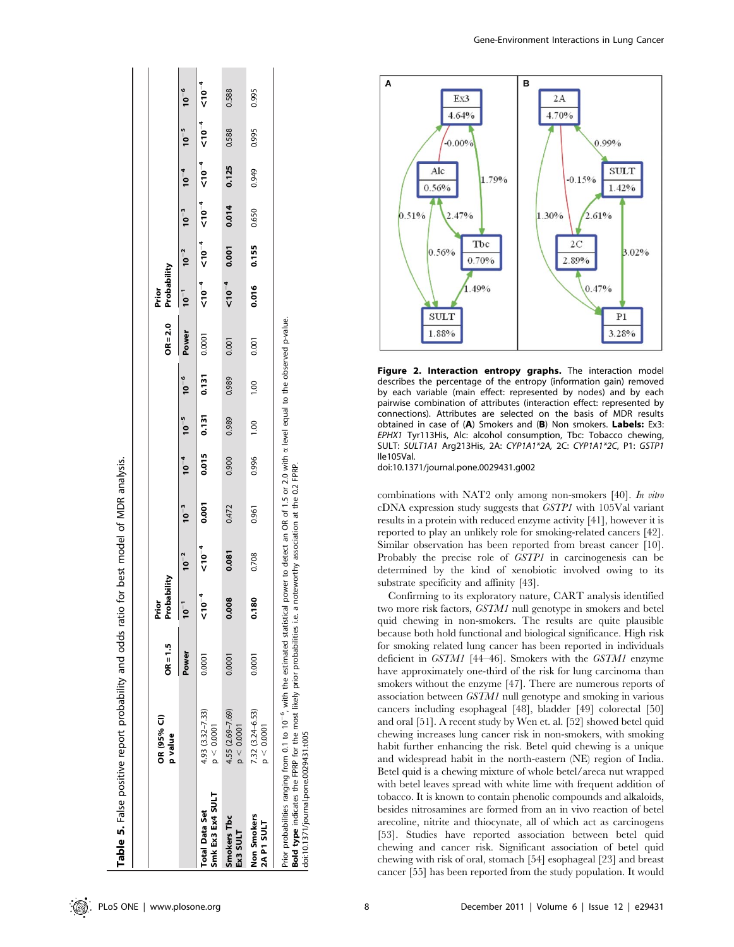|                                           | OR (95% CI)<br>p value            | $OR = 1.5$ | Probability<br>Prior |                     |           |       |                     |           | $OR = 2.0$ | Probability<br>Prior |                                          |                     |       |           |           |
|-------------------------------------------|-----------------------------------|------------|----------------------|---------------------|-----------|-------|---------------------|-----------|------------|----------------------|------------------------------------------|---------------------|-------|-----------|-----------|
|                                           |                                   | Power      | -<br>10              | $10^{-2}$           | $10^{-3}$ |       | $10^{-4}$ $10^{-5}$ | $10^{-6}$ | Power      | $10^{-1}$            | $10^{-2}$                                | $10^{-3}$ $10^{-4}$ |       | $10^{-5}$ | $10^{-6}$ |
| Smk Ex3 Ex4 SULT<br><b>Total Data Set</b> | $4.93(3.32 - 7.33)$<br>p < 0.0001 | 0.0001     | $10^{-4}$            | $\overline{0}^{-4}$ | 0.001     |       | $0.015$ $0.131$     | 0.131     | 0.0001     |                      | ~10−7 → 10−7 → 10−7 → 10−7 → 10−7 → 10−7 |                     |       |           |           |
| Smokers Tbc<br>Ex3 SULT                   | $4.55(2.69 - 7.69)$<br>p < 0.0001 | 0.0001     | œ<br>õ<br>0.0        | 0.081               | 0.472     | 0.900 | 0.989               | 0.989     | 0.001      | $10^{-4}$            | 0.001                                    | 0.014               | 0.125 | 0.588     | 0.588     |
| Non Smokers<br>2A P1 SULT                 | 7.32 (3.24-6.53)<br>p < 0.0001    | 0.0001     | 0.180                | 0.708               | 0.961     | 0.996 | 0.00                | 00.1      | 0.001      | 0.016                | 0.155                                    | 0.650               | 0.949 | 0.995     | 0.995     |

Bold type indicates the FPRP for the most likely prior probabilities i.e. a noteworthy association at the 0.2 FPRP. 0.2 FPRP the đ nonter: asso hoteworthy نه  $\bar{1}$ propal prior llkely the most Bold type indicates the FPRP for the<br>doi:10.1371/journal.pone.0029431.t005 doi:10.1371/journal.pone.0029431.t005 Gene-Environment Interactions in Lung Cancer



Figure 2. Interaction entropy graphs. The interaction model describes the percentage of the entropy (information gain) removed by each variable (main effect: represented by nodes) and by each pairwise combination of attributes (interaction effect: represented by connections). Attributes are selected on the basis of MDR results obtained in case of (A) Smokers and (B) Non smokers. Labels: Ex3: EPHX1 Tyr113His, Alc: alcohol consumption, Tbc: Tobacco chewing, SULT: SULT1A1 Arg213His, 2A: CYP1A1\*2A, 2C: CYP1A1\*2C, P1: GSTP1 Ile105Val.

doi:10.1371/journal.pone.0029431.g002

combinations with NAT2 only among non-smokers [40]. In vitro cDNA expression study suggests that GSTP1 with 105Val variant results in a protein with reduced enzyme activity [41], however it is reported to play an unlikely role for smoking-related cancers [42]. Similar observation has been reported from breast cancer [10]. Probably the precise role of GSTP1 in carcinogenesis can be determined by the kind of xenobiotic involved owing to its substrate specificity and affinity [43].

Confirming to its exploratory nature, CART analysis identified two more risk factors, GSTM1 null genotype in smokers and betel quid chewing in non-smokers. The results are quite plausible because both hold functional and biological significance. High risk for smoking related lung cancer has been reported in individuals deficient in GSTM1 [44–46]. Smokers with the GSTM1 enzyme have approximately one-third of the risk for lung carcinoma than smokers without the enzyme [47]. There are numerous reports of association between GSTM1 null genotype and smoking in various cancers including esophageal [48], bladder [49] colorectal [50] and oral [51]. A recent study by Wen et. al. [52] showed betel quid chewing increases lung cancer risk in non-smokers, with smoking habit further enhancing the risk. Betel quid chewing is a unique and widespread habit in the north-eastern (NE) region of India. Betel quid is a chewing mixture of whole betel/areca nut wrapped with betel leaves spread with white lime with frequent addition of tobacco. It is known to contain phenolic compounds and alkaloids, besides nitrosamines are formed from an in vivo reaction of betel arecoline, nitrite and thiocynate, all of which act as carcinogens [53]. Studies have reported association between betel quid chewing and cancer risk. Significant association of betel quid chewing with risk of oral, stomach [54] esophageal [23] and breast cancer [55] has been reported from the study population. It would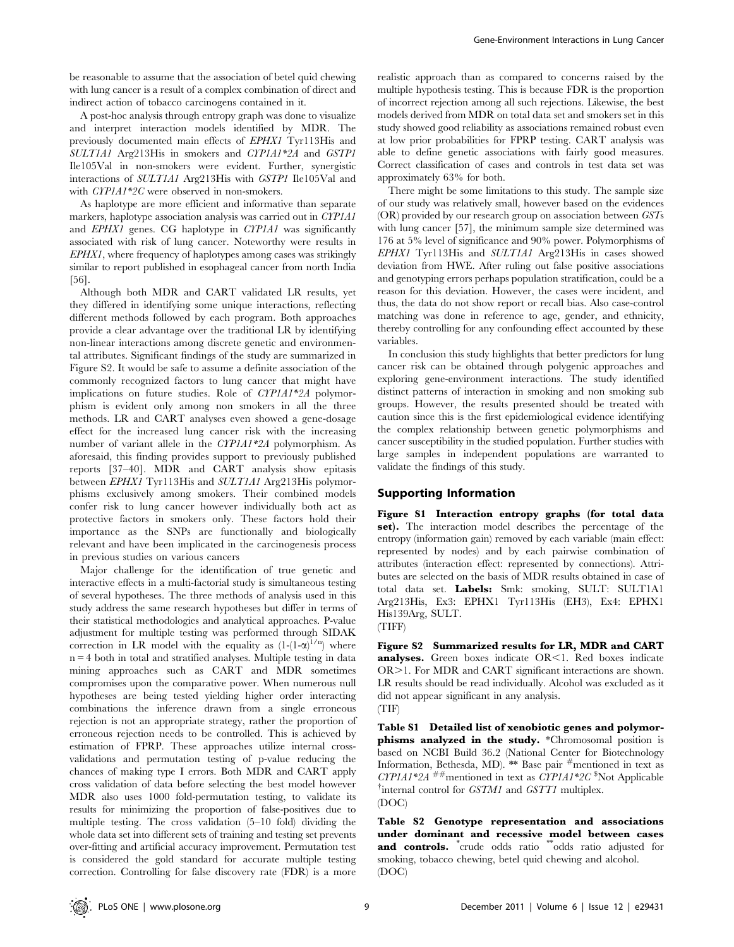be reasonable to assume that the association of betel quid chewing with lung cancer is a result of a complex combination of direct and indirect action of tobacco carcinogens contained in it.

A post-hoc analysis through entropy graph was done to visualize and interpret interaction models identified by MDR. The previously documented main effects of EPHX1 Tyr113His and SULT1A1 Arg213His in smokers and CYP1A1\*2A and GSTP1 Ile105Val in non-smokers were evident. Further, synergistic interactions of SULT1A1 Arg213His with GSTP1 Ile105Val and with CYP1A1\*2C were observed in non-smokers.

As haplotype are more efficient and informative than separate markers, haplotype association analysis was carried out in CYP1A1 and EPHX1 genes. CG haplotype in CYP1A1 was significantly associated with risk of lung cancer. Noteworthy were results in EPHX1, where frequency of haplotypes among cases was strikingly similar to report published in esophageal cancer from north India [56].

Although both MDR and CART validated LR results, yet they differed in identifying some unique interactions, reflecting different methods followed by each program. Both approaches provide a clear advantage over the traditional LR by identifying non-linear interactions among discrete genetic and environmental attributes. Significant findings of the study are summarized in Figure S2. It would be safe to assume a definite association of the commonly recognized factors to lung cancer that might have implications on future studies. Role of CYP1A1\*2A polymorphism is evident only among non smokers in all the three methods. LR and CART analyses even showed a gene-dosage effect for the increased lung cancer risk with the increasing number of variant allele in the CYP1A1\*2A polymorphism. As aforesaid, this finding provides support to previously published reports [37–40]. MDR and CART analysis show epitasis between EPHX1 Tyr113His and SULT1A1 Arg213His polymorphisms exclusively among smokers. Their combined models confer risk to lung cancer however individually both act as protective factors in smokers only. These factors hold their importance as the SNPs are functionally and biologically relevant and have been implicated in the carcinogenesis process in previous studies on various cancers

Major challenge for the identification of true genetic and interactive effects in a multi-factorial study is simultaneous testing of several hypotheses. The three methods of analysis used in this study address the same research hypotheses but differ in terms of their statistical methodologies and analytical approaches. P-value adjustment for multiple testing was performed through SIDAK correction in LR model with the equality as  $(1-(1-\alpha)^{1/n})$  where  $n = 4$  both in total and stratified analyses. Multiple testing in data mining approaches such as CART and MDR sometimes compromises upon the comparative power. When numerous null hypotheses are being tested yielding higher order interacting combinations the inference drawn from a single erroneous rejection is not an appropriate strategy, rather the proportion of erroneous rejection needs to be controlled. This is achieved by estimation of FPRP. These approaches utilize internal crossvalidations and permutation testing of p-value reducing the chances of making type I errors. Both MDR and CART apply cross validation of data before selecting the best model however MDR also uses 1000 fold-permutation testing, to validate its results for minimizing the proportion of false-positives due to multiple testing. The cross validation (5–10 fold) dividing the whole data set into different sets of training and testing set prevents over-fitting and artificial accuracy improvement. Permutation test is considered the gold standard for accurate multiple testing correction. Controlling for false discovery rate (FDR) is a more

realistic approach than as compared to concerns raised by the multiple hypothesis testing. This is because FDR is the proportion of incorrect rejection among all such rejections. Likewise, the best models derived from MDR on total data set and smokers set in this study showed good reliability as associations remained robust even at low prior probabilities for FPRP testing. CART analysis was able to define genetic associations with fairly good measures. Correct classification of cases and controls in test data set was approximately 63% for both.

There might be some limitations to this study. The sample size of our study was relatively small, however based on the evidences (OR) provided by our research group on association between GSTs with lung cancer [57], the minimum sample size determined was 176 at 5% level of significance and 90% power. Polymorphisms of EPHX1 Tyr113His and SULT1A1 Arg213His in cases showed deviation from HWE. After ruling out false positive associations and genotyping errors perhaps population stratification, could be a reason for this deviation. However, the cases were incident, and thus, the data do not show report or recall bias. Also case-control matching was done in reference to age, gender, and ethnicity, thereby controlling for any confounding effect accounted by these variables.

In conclusion this study highlights that better predictors for lung cancer risk can be obtained through polygenic approaches and exploring gene-environment interactions. The study identified distinct patterns of interaction in smoking and non smoking sub groups. However, the results presented should be treated with caution since this is the first epidemiological evidence identifying the complex relationship between genetic polymorphisms and cancer susceptibility in the studied population. Further studies with large samples in independent populations are warranted to validate the findings of this study.

# Supporting Information

Figure S1 Interaction entropy graphs (for total data set). The interaction model describes the percentage of the entropy (information gain) removed by each variable (main effect: represented by nodes) and by each pairwise combination of attributes (interaction effect: represented by connections). Attributes are selected on the basis of MDR results obtained in case of total data set. Labels: Smk: smoking, SULT: SULT1A1 Arg213His, Ex3: EPHX1 Tyr113His (EH3), Ex4: EPHX1 His139Arg, SULT. (TIFF)

Figure S2 Summarized results for LR, MDR and CART **analyses.** Green boxes indicate  $OR < 1$ . Red boxes indicate OR>1. For MDR and CART significant interactions are shown. LR results should be read individually. Alcohol was excluded as it did not appear significant in any analysis. (TIF)

Table S1 Detailed list of xenobiotic genes and polymorphisms analyzed in the study. \*Chromosomal position is based on NCBI Build 36.2 (National Center for Biotechnology Information, Bethesda, MD). \*\* Base pair  $#$ mentioned in text as  $CYP1A1*2A$ <sup>##</sup>mentioned in text as  $CYP1A1*2C$ <sup>\$</sup>Not Applicable  $\dagger$ internal control for GSTM1 and GSTT1 multiplex. (DOC)

Table S2 Genotype representation and associations under dominant and recessive model between cases and controls. \*crude odds ratio \*\*odds ratio adjusted for smoking, tobacco chewing, betel quid chewing and alcohol. (DOC)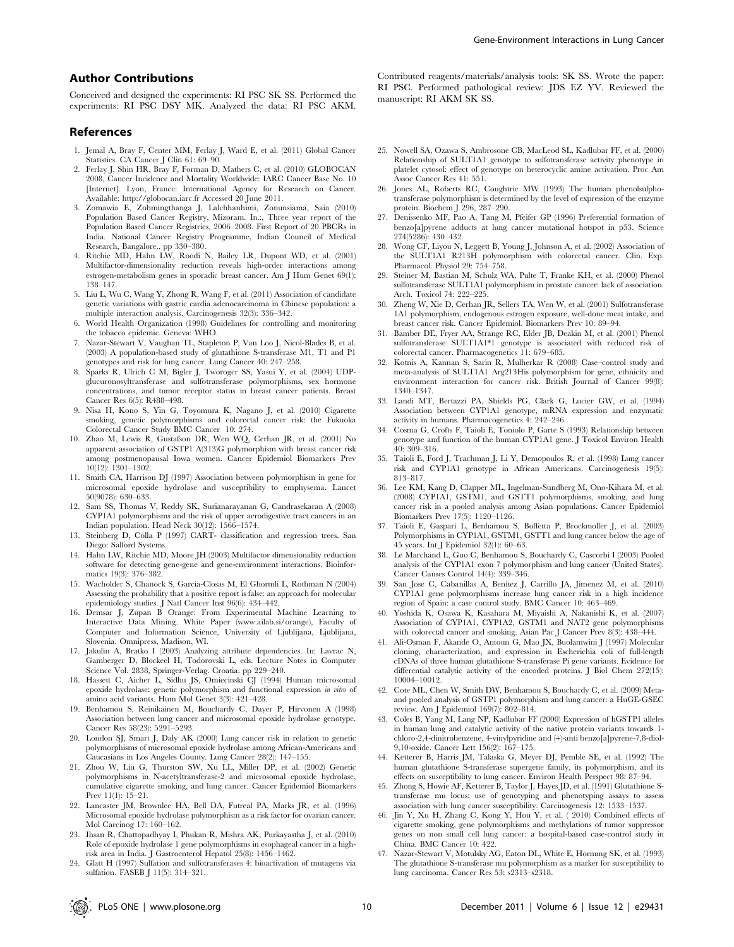# Author Contributions

Conceived and designed the experiments: RI PSC SK SS. Performed the experiments: RI PSC DSY MK. Analyzed the data: RI PSC AKM.

# References

- 1. Jemal A, Bray F, Center MM, Ferlay J, Ward E, et al. (2011) Global Cancer Statistics. CA Cancer J Clin 61: 69–90.
- 2. Ferlay J, Shin HR, Bray F, Forman D, Mathers C, et al. (2010) GLOBOCAN 2008, Cancer Incidence and Mortality Worldwide: IARC Cancer Base No. 10 [Internet]. Lyon, France: International Agency for Research on Cancer. Available: http://globocan.iarc.fr Accessed 20 June 2011.
- 3. Zomawia E, Zohmingthanga J, Lalchhanhimi, Zonunsiama, Saia (2010) Population Based Cancer Registry, Mizoram. In.:, Three year report of the Population Based Cancer Registries, 2006–2008. First Report of 20 PBCRs in India. National Cancer Registry Programme, Indian Council of Medical Research, Bangalore.. pp 330–380.
- 4. Ritchie MD, Hahn LW, Roodi N, Bailey LR, Dupont WD, et al. (2001) Multifactor-dimensionality reduction reveals high-order interactions among estrogen-metabolism genes in sporadic breast cancer. Am J Hum Genet 69(1): 138–147.
- 5. Liu L, Wu C, Wang Y, Zhong R, Wang F, et al. (2011) Association of candidate genetic variations with gastric cardia adenocarcinoma in Chinese population: a multiple interaction analysis. Carcinogenesis 32(3): 336–342.
- 6. World Health Organization (1998) Guidelines for controlling and monitoring the tobacco epidemic. Geneva: WHO.
- 7. Nazar-Stewart V, Vaughan TL, Stapleton P, Van Loo J, Nicol-Blades B, et al. (2003) A population-based study of glutathione S-transferase M1, T1 and P1 genotypes and risk for lung cancer. Lung Cancer 40: 247–258.
- 8. Sparks R, Ulrich C M, Bigler J, Tworoger SS, Yasui Y, et al. (2004) UDPglucuronosyltransferase and sulfotransferase polymorphisms, sex hormone concentrations, and tumor receptor status in breast cancer patients. Breast Cancer Res 6(5): R488–498.
- 9. Nisa H, Kono S, Yin G, Toyomura K, Nagano J, et al. (2010) Cigarette smoking, genetic polymorphisms and colorectal cancer risk: the Fukuoka Colorectal Cancer Study BMC Cancer 10: 274.
- 10. Zhao M, Lewis R, Gustafson DR, Wen WQ, Cerhan JR, et al. (2001) No apparent association of GSTP1 A(313)G polymorphism with breast cancer risk among postmenopausal Iowa women. Cancer Epidemiol Biomarkers Prev 10(12): 1301–1302.
- 11. Smith CA, Harrison DJ (1997) Association between polymorphism in gene for microsomal epoxide hydrolase and susceptibility to emphysema. Lancet 50(9078): 630–633.
- 12. Sam SS, Thomas V, Reddy SK, Surianarayanan G, Candrasekaran A (2008) CYP1A1 polymorphisms and the risk of upper aerodigestive tract cancers in an Indian population. Head Neck 30(12): 1566–1574.
- 13. Steinberg D, Colla P (1997) CART- classification and regression trees. San Diego: Salford Systems.
- 14. Hahn LW, Ritchie MD, Moore JH (2003) Multifactor dimensionality reduction software for detecting gene-gene and gene-environment interactions. Bioinformatics 19(3): 376–382.
- 15. Wacholder S, Chanock S, Garcia-Closas M, El Ghormli L, Rothman N (2004) Assessing the probability that a positive report is false: an approach for molecular epidemiology studies. J Natl Cancer Inst 96(6): 434-442.
- 16. Demsar J, Zupan B Orange: From Experimental Machine Learning to Interactive Data Mining. White Paper (www.ailab.si/orange), Faculty of Computer and Information Science, University of Ljublijana, Ljublijana, Slovenia. Omnipress, Madison, WI.
- 17. Jakulin A, Bratko I (2003) Analyzing attribute dependencies. In: Lavrac N, Gamberger D, Blockeel H, Todorovski L, eds. Lecture Notes in Computer Science Vol. 2838, Springer-Verlag. Croatia. pp 229–240.
- 18. Hassett C, Aicher L, Sidhu JS, Omiecinski CJ (1994) Human microsomal epoxide hydrolase: genetic polymorphism and functional expression in vitro of amino acid variants. Hum Mol Genet 3(3): 421–428.
- 19. Benhamou S, Reinikainen M, Bouchardy C, Dayer P, Hirvonen A (1998) Association between lung cancer and microsomal epoxide hydrolase genotype. Cancer Res 58(23): 5291–5293.
- 20. London SJ, Smart J, Daly AK (2000) Lung cancer risk in relation to genetic polymorphisms of microsomal epoxide hydrolase among African-Americans and Caucasians in Los Angeles County. Lung Cancer 28(2): 147–155.
- 21. Zhou W, Liu G, Thurston SW, Xu LL, Miller DP, et al. (2002) Genetic polymorphisms in N-acetyltransferase-2 and microsomal epoxide hydrolase, cumulative cigarette smoking, and lung cancer. Cancer Epidemiol Biomarkers Prev 11(1): 15–21.
- 22. Lancaster JM, Brownlee HA, Bell DA, Futreal PA, Marks JR, et al. (1996) Microsomal epoxide hydrolase polymorphism as a risk factor for ovarian cancer. Mol Carcinog 17: 160–162.
- 23. Ihsan R, Chattopadhyay I, Phukan R, Mishra AK, Purkayastha J, et al. (2010) Role of epoxide hydrolase 1 gene polymorphisms in esophageal cancer in a highrisk area in India. J Gastroenterol Hepatol 25(8): 1456–1462.
- 24. Glatt H (1997) Sulfation and sulfotransferases 4: bioactivation of mutagens via sulfation. FASEB J 11(5): 314–321.

Contributed reagents/materials/analysis tools: SK SS. Wrote the paper: RI PSC. Performed pathological review: JDS EZ YV. Reviewed the manuscript: RI AKM SK SS.

- 25. Nowell SA, Ozawa S, Ambrosone CB, MacLeod SL, Kadlubar FF, et al. (2000) Relationship of SULT1A1 genotype to sulfotransferase activity phenotype in platelet cytosol: effect of genotype on heterocyclic amine activation. Proc Am Assoc Cancer Res 41: 551.
- 26. Jones AL, Roberts RC, Coughtrie MW (1993) The human phenolsulphotransferase polymorphism is determined by the level of expression of the enzyme protein. Biochem J 296, 287–290.
- 27. Denissenko MF, Pao A, Tang M, Pfeifer GP (1996) Preferential formation of benzo[a]pyrene adducts at lung cancer mutational hotspot in p53. Science 274(5286): 430–432.
- 28. Wong CF, Liyou N, Leggett B, Young J, Johnson A, et al. (2002) Association of the SULT1A1 R213H polymorphism with colorectal cancer. Clin. Exp. Pharmacol. Physiol 29: 754–758.
- 29. Steiner M, Bastian M, Schulz WA, Pulte T, Franke KH, et al. (2000) Phenol sulfotransferase SULT1A1 polymorphism in prostate cancer: lack of association. Arch. Toxicol 74: 222–225.
- 30. Zheng W, Xie D, Cerhan JR, Sellers TA, Wen W, et al. (2001) Sulfotransferase 1A1 polymorphism, endogenous estrogen exposure, well-done meat intake, and breast cancer risk. Cancer Epidemiol. Biomarkers Prev 10: 89–94.
- 31. Bamber DE, Fryer AA, Strange RC, Elder JB, Deakin M, et al. (2001) Phenol sulfotransferase SULT1A1\*1 genotype is associated with reduced risk of colorectal cancer. Pharmacogenetics 11: 679–685.
- 32. Kotnis A, Kannan S, Sarin R, Mulherkar R (2008) Case–control study and meta-analysis of SULT1A1 Arg213His polymorphism for gene, ethnicity and environment interaction for cancer risk. British Journal of Cancer 99(8): 1340–1347.
- 33. Landi MT, Bertazzi PA, Shields PG, Clark G, Lucier GW, et al. (1994) Association between CYP1A1 genotype, mRNA expression and enzymatic activity in humans. Pharmacogenetics 4: 242–246.
- 34. Cosma G, Crofts F, Taioli E, Toniolo P, Garte S (1993) Relationship between genotype and function of the human CYP1A1 gene. J Toxicol Environ Health 40: 309–316.
- 35. Taioli E, Ford J, Trachman J, Li Y, Demopoulos R, et al. (1998) Lung cancer risk and CYP1A1 genotype in African Americans. Carcinogenesis 19(5): 813–817.
- 36. Lee KM, Kang D, Clapper ML, Ingelman-Sundberg M, Ono-Kihara M, et al. (2008) CYP1A1, GSTM1, and GSTT1 polymorphisms, smoking, and lung cancer risk in a pooled analysis among Asian populations. Cancer Epidemiol Biomarkers Prev 17(5): 1120–1126.
- 37. Taioli E, Gaspari L, Benhamou S, Boffetta P, Brockmoller J, et al. (2003) Polymorphisms in CYP1A1, GSTM1, GSTT1 and lung cancer below the age of 45 years. Int J Epidemiol 32(1): 60–63.
- 38. Le Marchand L, Guo C, Benhamou S, Bouchardy C, Cascorbi I (2003) Pooled analysis of the CYP1A1 exon 7 polymorphism and lung cancer (United States). Cancer Causes Control 14(4): 339–346.
- 39. San Jose C, Cabanillas A, Benitez J, Carrillo JA, Jimenez M, et al. (2010) CYP1A1 gene polymorphisms increase lung cancer risk in a high incidence region of Spain: a case control study. BMC Cancer 10: 463–469.
- 40. Yoshida K, Osawa K, Kasahara M, Miyaishi A, Nakanishi K, et al. (2007) Association of CYP1A1, CYP1A2, GSTM1 and NAT2 gene polymorphisms with colorectal cancer and smoking. Asian Pac J Cancer Prev 8(3): 438–444.
- 41. Ali-Osman F, Akande O, Antoun G, Mao JX, Buolamwini J (1997) Molecular cloning, characterization, and expression in Escherichia coli of full-length cDNAs of three human glutathione S-transferase Pi gene variants. Evidence for differential catalytic activity of the encoded proteins. J Biol Chem 272(15): 10004–10012.
- 42. Cote ML, Chen W, Smith DW, Benhamou S, Bouchardy C, et al. (2009) Metaand pooled analysis of GSTP1 polymorphism and lung cancer: a HuGE-GSEC review. Am J Epidemiol 169(7): 802–814.
- 43. Coles B, Yang M, Lang NP, Kadlubar FF (2000) Expression of hGSTP1 alleles in human lung and catalytic activity of the native protein variants towards 1 chloro-2,4-dinitrobenzene, 4-vinylpyridine and (+)-anti benzo[a]pyrene-7,8-diol-9,10-oxide. Cancer Lett 156(2): 167–175.
- 44. Ketterer B, Harris JM, Talaska G, Meyer DJ, Pemble SE, et al. (1992) The human glutathione S-transferase supergene family, its polymorphism, and its effects on susceptibility to lung cancer. Environ Health Perspect 98: 87–94.
- 45. Zhong S, Howie AF, Ketterer B, Taylor J, Hayes JD, et al. (1991) Glutathione Stransferase mu locus: use of genotyping and phenotyping assays to assess association with lung cancer susceptibility. Carcinogenesis 12: 1533–1537.
- 46. Jin Y, Xu H, Zhang C, Kong Y, Hou Y, et al. ( 2010) Combined effects of cigarette smoking, gene polymorphisms and methylations of tumor suppressor genes on non small cell lung cancer: a hospital-based case-control study in China. BMC Cancer 10: 422.
- 47. Nazar-Stewart V, Motulsky AG, Eaton DL, White E, Hornung SK, et al. (1993) The glutathione S-transferase mu polymorphism as a marker for susceptibility to lung carcinoma. Cancer Res 53: s2313–s2318.